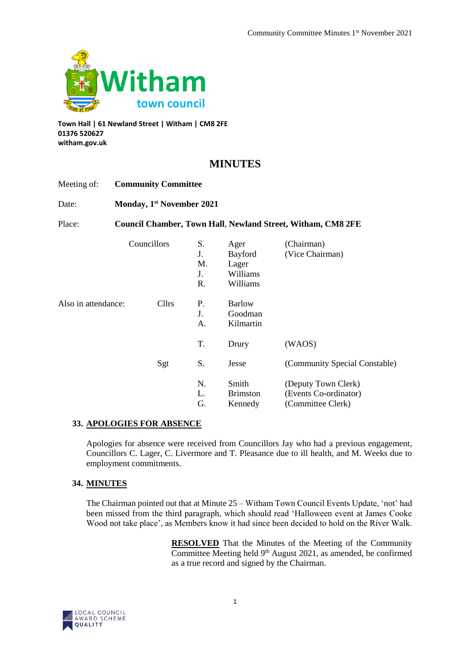

**Town Hall | 61 Newland Street | Witham | CM8 2FE 01376 520627 witham.gov.uk**

# **MINUTES**

| Meeting of:         | <b>Community Committee</b>            |              |                            |                                                  |                                                                    |  |
|---------------------|---------------------------------------|--------------|----------------------------|--------------------------------------------------|--------------------------------------------------------------------|--|
| Date:               | Monday, 1 <sup>st</sup> November 2021 |              |                            |                                                  |                                                                    |  |
| Place:              |                                       |              |                            |                                                  | <b>Council Chamber, Town Hall, Newland Street, Witham, CM8 2FE</b> |  |
|                     |                                       | Councillors  | S.<br>J.<br>M.<br>J.<br>R. | Ager<br>Bayford<br>Lager<br>Williams<br>Williams | (Chairman)<br>(Vice Chairman)                                      |  |
| Also in attendance: |                                       | <b>Cllrs</b> | P.<br>J.<br>A.             | <b>Barlow</b><br>Goodman<br>Kilmartin            |                                                                    |  |
|                     |                                       |              | T.                         | Drury                                            | (WAOS)                                                             |  |
|                     |                                       | Sgt          | S.                         | Jesse                                            | (Community Special Constable)                                      |  |
|                     |                                       |              | N.<br>L.<br>G.             | Smith<br><b>Brimston</b><br>Kennedy              | (Deputy Town Clerk)<br>(Events Co-ordinator)<br>(Committee Clerk)  |  |

# **33. APOLOGIES FOR ABSENCE**

Apologies for absence were received from Councillors Jay who had a previous engagement, Councillors C. Lager, C. Livermore and T. Pleasance due to ill health, and M. Weeks due to employment commitments.

# **34. MINUTES**

The Chairman pointed out that at Minute 25 – Witham Town Council Events Update, 'not' had been missed from the third paragraph, which should read 'Halloween event at James Cooke Wood not take place', as Members know it had since been decided to hold on the River Walk.

> **RESOLVED** That the Minutes of the Meeting of the Community Committee Meeting held 9<sup>th</sup> August 2021, as amended, be confirmed as a true record and signed by the Chairman.

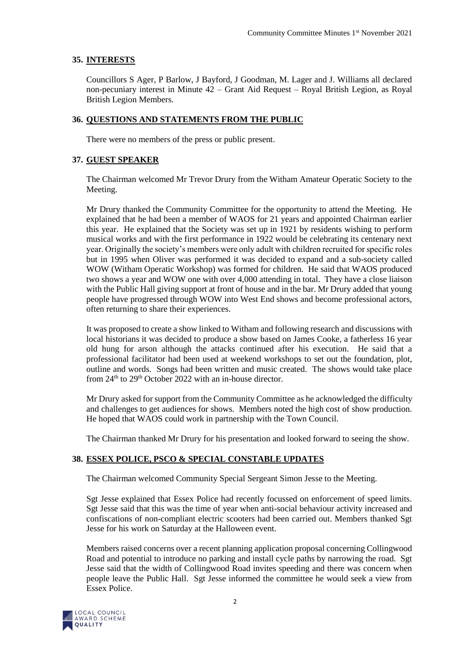# **35. INTERESTS**

Councillors S Ager, P Barlow, J Bayford, J Goodman, M. Lager and J. Williams all declared non-pecuniary interest in Minute 42 – Grant Aid Request – Royal British Legion, as Royal British Legion Members.

# **36. QUESTIONS AND STATEMENTS FROM THE PUBLIC**

There were no members of the press or public present.

# **37. GUEST SPEAKER**

The Chairman welcomed Mr Trevor Drury from the Witham Amateur Operatic Society to the Meeting.

Mr Drury thanked the Community Committee for the opportunity to attend the Meeting. He explained that he had been a member of WAOS for 21 years and appointed Chairman earlier this year. He explained that the Society was set up in 1921 by residents wishing to perform musical works and with the first performance in 1922 would be celebrating its centenary next year. Originally the society's members were only adult with children recruited for specific roles but in 1995 when Oliver was performed it was decided to expand and a sub-society called WOW (Witham Operatic Workshop) was formed for children. He said that WAOS produced two shows a year and WOW one with over 4,000 attending in total. They have a close liaison with the Public Hall giving support at front of house and in the bar. Mr Drury added that young people have progressed through WOW into West End shows and become professional actors, often returning to share their experiences.

It was proposed to create a show linked to Witham and following research and discussions with local historians it was decided to produce a show based on James Cooke, a fatherless 16 year old hung for arson although the attacks continued after his execution. He said that a professional facilitator had been used at weekend workshops to set out the foundation, plot, outline and words. Songs had been written and music created. The shows would take place from  $24<sup>th</sup>$  to  $29<sup>th</sup>$  October 2022 with an in-house director.

Mr Drury asked for support from the Community Committee as he acknowledged the difficulty and challenges to get audiences for shows. Members noted the high cost of show production. He hoped that WAOS could work in partnership with the Town Council.

The Chairman thanked Mr Drury for his presentation and looked forward to seeing the show.

# **38. ESSEX POLICE, PSCO & SPECIAL CONSTABLE UPDATES**

The Chairman welcomed Community Special Sergeant Simon Jesse to the Meeting.

Sgt Jesse explained that Essex Police had recently focussed on enforcement of speed limits. Sgt Jesse said that this was the time of year when anti-social behaviour activity increased and confiscations of non-compliant electric scooters had been carried out. Members thanked Sgt Jesse for his work on Saturday at the Halloween event.

Members raised concerns over a recent planning application proposal concerning Collingwood Road and potential to introduce no parking and install cycle paths by narrowing the road. Sgt Jesse said that the width of Collingwood Road invites speeding and there was concern when people leave the Public Hall. Sgt Jesse informed the committee he would seek a view from Essex Police.

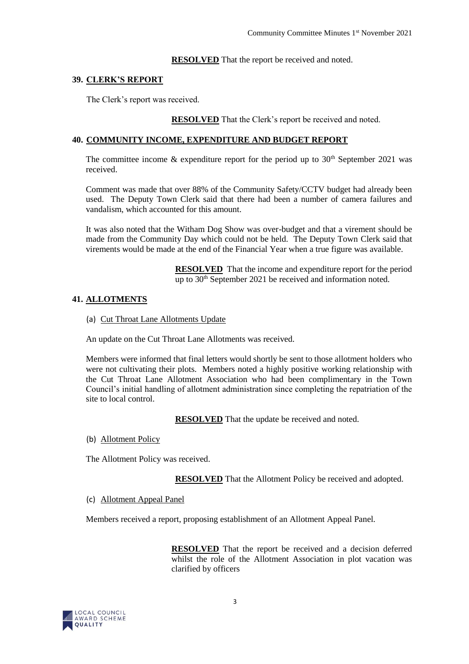### **RESOLVED** That the report be received and noted.

### **39. CLERK'S REPORT**

The Clerk's report was received.

**RESOLVED** That the Clerk's report be received and noted.

### **40. COMMUNITY INCOME, EXPENDITURE AND BUDGET REPORT**

The committee income  $\&$  expenditure report for the period up to 30<sup>th</sup> September 2021 was received.

Comment was made that over 88% of the Community Safety/CCTV budget had already been used. The Deputy Town Clerk said that there had been a number of camera failures and vandalism, which accounted for this amount.

It was also noted that the Witham Dog Show was over-budget and that a virement should be made from the Community Day which could not be held. The Deputy Town Clerk said that virements would be made at the end of the Financial Year when a true figure was available.

> **RESOLVED** That the income and expenditure report for the period up to 30<sup>th</sup> September 2021 be received and information noted.

# **41. ALLOTMENTS**

(a) Cut Throat Lane Allotments Update

An update on the Cut Throat Lane Allotments was received.

Members were informed that final letters would shortly be sent to those allotment holders who were not cultivating their plots. Members noted a highly positive working relationship with the Cut Throat Lane Allotment Association who had been complimentary in the Town Council's initial handling of allotment administration since completing the repatriation of the site to local control.

**RESOLVED** That the update be received and noted.

(b) Allotment Policy

The Allotment Policy was received.

**RESOLVED** That the Allotment Policy be received and adopted.

#### (c) Allotment Appeal Panel

Members received a report, proposing establishment of an Allotment Appeal Panel.

**RESOLVED** That the report be received and a decision deferred whilst the role of the Allotment Association in plot vacation was clarified by officers

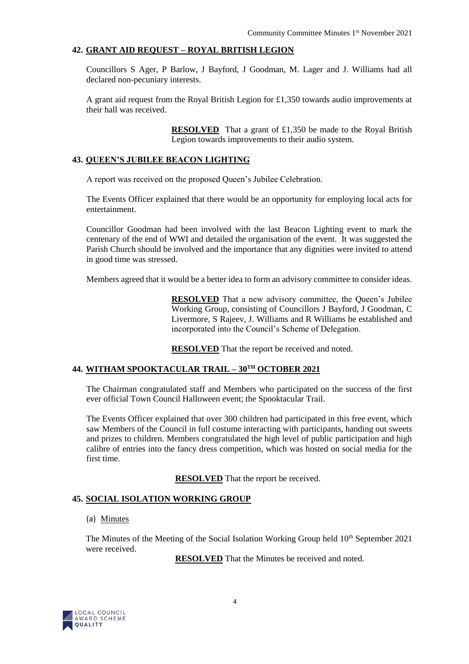### **42. GRANT AID REQUEST – ROYAL BRITISH LEGION**

Councillors S Ager, P Barlow, J Bayford, J Goodman, M. Lager and J. Williams had all declared non-pecuniary interests.

A grant aid request from the Royal British Legion for £1,350 towards audio improvements at their hall was received.

> **RESOLVED** That a grant of £1,350 be made to the Royal British Legion towards improvements to their audio system.

#### **43. QUEEN'S JUBILEE BEACON LIGHTING**

A report was received on the proposed Queen's Jubilee Celebration.

The Events Officer explained that there would be an opportunity for employing local acts for entertainment.

Councillor Goodman had been involved with the last Beacon Lighting event to mark the centenary of the end of WWI and detailed the organisation of the event. It was suggested the Parish Church should be involved and the importance that any dignities were invited to attend in good time was stressed.

Members agreed that it would be a better idea to form an advisory committee to consider ideas.

**RESOLVED** That a new advisory committee, the Queen's Jubilee Working Group, consisting of Councillors J Bayford, J Goodman, C Livermore, S Rajeev, J. Williams and R Williams be established and incorporated into the Council's Scheme of Delegation.

**RESOLVED** That the report be received and noted.

#### **44. WITHAM SPOOKTACULAR TRAIL – 30TH OCTOBER 2021**

The Chairman congratulated staff and Members who participated on the success of the first ever official Town Council Halloween event; the Spooktacular Trail.

The Events Officer explained that over 300 children had participated in this free event, which saw Members of the Council in full costume interacting with participants, handing out sweets and prizes to children. Members congratulated the high level of public participation and high calibre of entries into the fancy dress competition, which was hosted on social media for the first time.

**RESOLVED** That the report be received.

# **45. SOCIAL ISOLATION WORKING GROUP**

#### (a) Minutes

The Minutes of the Meeting of the Social Isolation Working Group held  $10<sup>th</sup>$  September 2021 were received.

**RESOLVED** That the Minutes be received and noted.

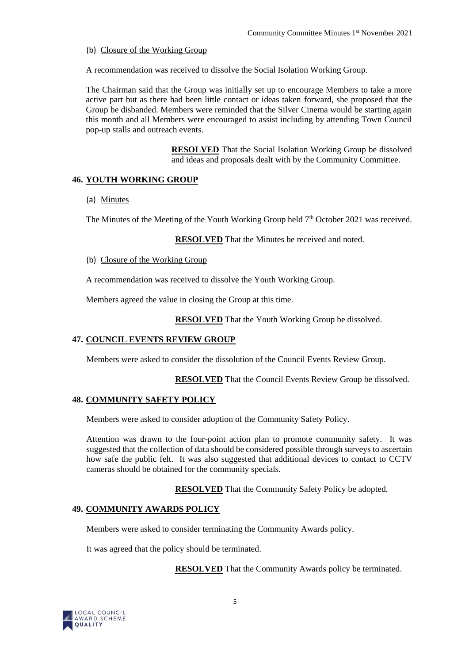(b) Closure of the Working Group

A recommendation was received to dissolve the Social Isolation Working Group.

The Chairman said that the Group was initially set up to encourage Members to take a more active part but as there had been little contact or ideas taken forward, she proposed that the Group be disbanded. Members were reminded that the Silver Cinema would be starting again this month and all Members were encouraged to assist including by attending Town Council pop-up stalls and outreach events.

> **RESOLVED** That the Social Isolation Working Group be dissolved and ideas and proposals dealt with by the Community Committee.

# **46. YOUTH WORKING GROUP**

(a) Minutes

The Minutes of the Meeting of the Youth Working Group held  $7<sup>th</sup>$  October 2021 was received.

**RESOLVED** That the Minutes be received and noted.

(b) Closure of the Working Group

A recommendation was received to dissolve the Youth Working Group.

Members agreed the value in closing the Group at this time.

**RESOLVED** That the Youth Working Group be dissolved.

# **47. COUNCIL EVENTS REVIEW GROUP**

Members were asked to consider the dissolution of the Council Events Review Group.

**RESOLVED** That the Council Events Review Group be dissolved.

# **48. COMMUNITY SAFETY POLICY**

Members were asked to consider adoption of the Community Safety Policy.

Attention was drawn to the four-point action plan to promote community safety. It was suggested that the collection of data should be considered possible through surveys to ascertain how safe the public felt. It was also suggested that additional devices to contact to CCTV cameras should be obtained for the community specials.

**RESOLVED** That the Community Safety Policy be adopted.

# **49. COMMUNITY AWARDS POLICY**

Members were asked to consider terminating the Community Awards policy.

It was agreed that the policy should be terminated.

**RESOLVED** That the Community Awards policy be terminated.

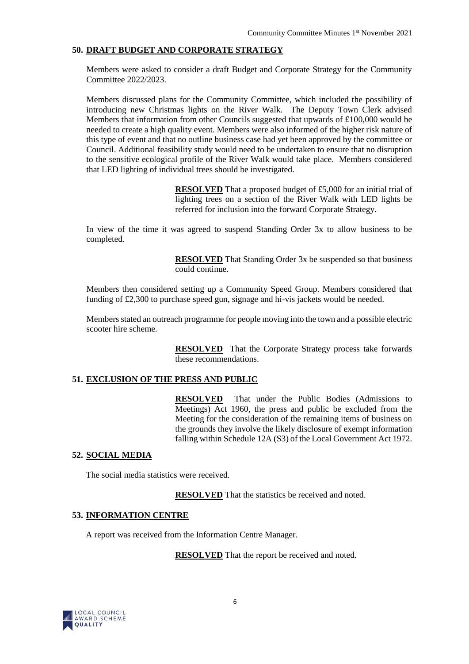## **50. DRAFT BUDGET AND CORPORATE STRATEGY**

Members were asked to consider a draft Budget and Corporate Strategy for the Community Committee 2022/2023.

Members discussed plans for the Community Committee, which included the possibility of introducing new Christmas lights on the River Walk. The Deputy Town Clerk advised Members that information from other Councils suggested that upwards of £100,000 would be needed to create a high quality event. Members were also informed of the higher risk nature of this type of event and that no outline business case had yet been approved by the committee or Council. Additional feasibility study would need to be undertaken to ensure that no disruption to the sensitive ecological profile of the River Walk would take place. Members considered that LED lighting of individual trees should be investigated.

> **RESOLVED** That a proposed budget of £5,000 for an initial trial of lighting trees on a section of the River Walk with LED lights be referred for inclusion into the forward Corporate Strategy.

In view of the time it was agreed to suspend Standing Order 3x to allow business to be completed.

> **RESOLVED** That Standing Order 3x be suspended so that business could continue.

Members then considered setting up a Community Speed Group. Members considered that funding of £2,300 to purchase speed gun, signage and hi-vis jackets would be needed.

Members stated an outreach programme for people moving into the town and a possible electric scooter hire scheme.

> **RESOLVED** That the Corporate Strategy process take forwards these recommendations.

### **51. EXCLUSION OF THE PRESS AND PUBLIC**

**RESOLVED** That under the Public Bodies (Admissions to Meetings) Act 1960, the press and public be excluded from the Meeting for the consideration of the remaining items of business on the grounds they involve the likely disclosure of exempt information falling within Schedule 12A (S3) of the Local Government Act 1972.

# **52. SOCIAL MEDIA**

The social media statistics were received.

**RESOLVED** That the statistics be received and noted.

#### **53. INFORMATION CENTRE**

A report was received from the Information Centre Manager.

**RESOLVED** That the report be received and noted.